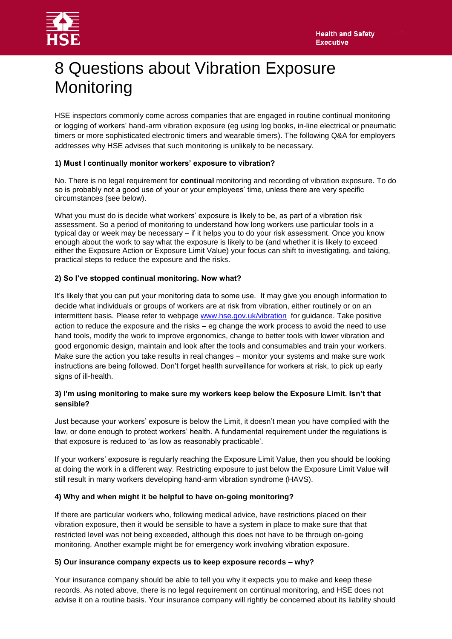

# 8 Questions about Vibration Exposure **Monitoring**

HSE inspectors commonly come across companies that are engaged in routine continual monitoring or logging of workers' hand-arm vibration exposure (eg using log books, in-line electrical or pneumatic timers or more sophisticated electronic timers and wearable timers). The following Q&A for employers addresses why HSE advises that such monitoring is unlikely to be necessary.

## **1) Must I continually monitor workers' exposure to vibration?**

No. There is no legal requirement for **continual** monitoring and recording of vibration exposure. To do so is probably not a good use of your or your employees' time, unless there are very specific circumstances (see below).

What you must do is decide what workers' exposure is likely to be, as part of a vibration risk assessment. So a period of monitoring to understand how long workers use particular tools in a typical day or week may be necessary – if it helps you to do your risk assessment. Once you know enough about the work to say what the exposure is likely to be (and whether it is likely to exceed either the Exposure Action or Exposure Limit Value) your focus can shift to investigating, and taking, practical steps to reduce the exposure and the risks.

## **2) So I've stopped continual monitoring. Now what?**

It's likely that you can put your monitoring data to some use. It may give you enough information to decide what individuals or groups of workers are at risk from vibration, either routinely or on an intermittent basis. Please refer to webpage [www.hse.gov.uk/vibration](http://www.hse.gov.uk/vibration) for guidance. Take positive action to reduce the exposure and the risks – eg change the work process to avoid the need to use hand tools, modify the work to improve ergonomics, change to better tools with lower vibration and good ergonomic design, maintain and look after the tools and consumables and train your workers. Make sure the action you take results in real changes – monitor your systems and make sure work instructions are being followed. Don't forget health surveillance for workers at risk, to pick up early signs of ill-health.

## **3) I'm using monitoring to make sure my workers keep below the Exposure Limit. Isn't that sensible?**

Just because your workers' exposure is below the Limit, it doesn't mean you have complied with the law, or done enough to protect workers' health. A fundamental requirement under the regulations is that exposure is reduced to 'as low as reasonably practicable'.

If your workers' exposure is regularly reaching the Exposure Limit Value, then you should be looking at doing the work in a different way. Restricting exposure to just below the Exposure Limit Value will still result in many workers developing hand-arm vibration syndrome (HAVS).

#### **4) Why and when might it be helpful to have on-going monitoring?**

If there are particular workers who, following medical advice, have restrictions placed on their vibration exposure, then it would be sensible to have a system in place to make sure that that restricted level was not being exceeded, although this does not have to be through on-going monitoring. Another example might be for emergency work involving vibration exposure.

#### **5) Our insurance company expects us to keep exposure records – why?**

Your insurance company should be able to tell you why it expects you to make and keep these records. As noted above, there is no legal requirement on continual monitoring, and HSE does not advise it on a routine basis. Your insurance company will rightly be concerned about its liability should